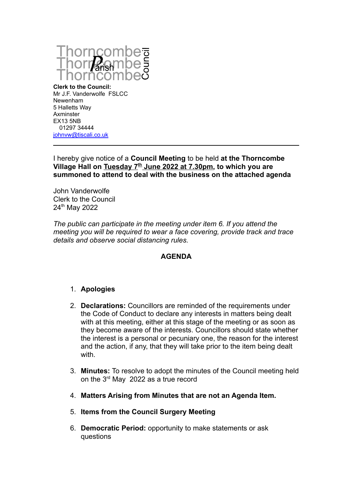

**Clerk to the Council:** Mr J.F. Vanderwolfe FSLCC Newenham 5 Halletts Way Axminster EX13 5NB 01297 34444 [johnvw@tiscali.co.uk](mailto:johnvw@tiscali.co.uk)

I hereby give notice of a **Council Meeting** to be held **at the Thorncombe Village Hall on Tuesday 7th June 2022 at 7.30pm, to which you are summoned to attend to deal with the business on the attached agenda**

John Vanderwolfe Clerk to the Council 24th May 2022

*The public can participate in the meeting under item 6. If you attend the meeting you will be required to wear a face covering, provide track and trace details and observe social distancing rules.*

# **AGENDA**

#### 1. **Apologies**

- 2. **Declarations:** Councillors are reminded of the requirements under the Code of Conduct to declare any interests in matters being dealt with at this meeting, either at this stage of the meeting or as soon as they become aware of the interests. Councillors should state whether the interest is a personal or pecuniary one, the reason for the interest and the action, if any, that they will take prior to the item being dealt with.
- 3. **Minutes:** To resolve to adopt the minutes of the Council meeting held on the 3rd May 2022 as a true record
- 4. **Matters Arising from Minutes that are not an Agenda Item.**
- 5. **Items from the Council Surgery Meeting**
- 6. **Democratic Period:** opportunity to make statements or ask questions